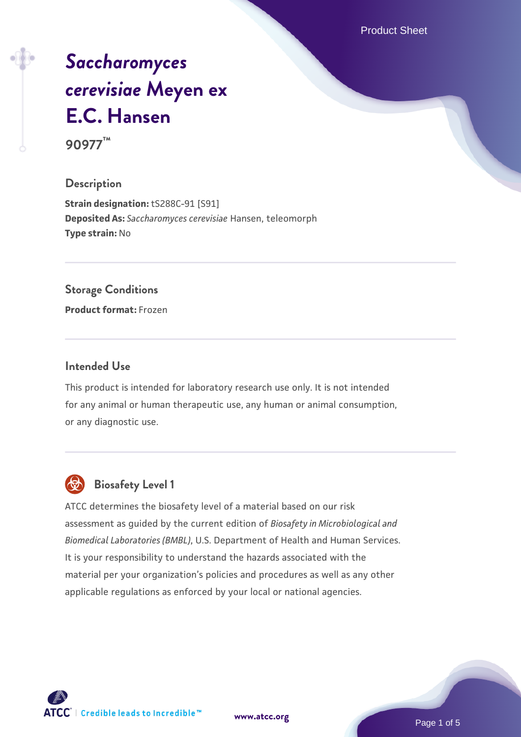Product Sheet

# *[Saccharomyces](https://www.atcc.org/products/90977) [cerevisiae](https://www.atcc.org/products/90977)* **[Meyen ex](https://www.atcc.org/products/90977) [E.C. Hansen](https://www.atcc.org/products/90977) 90977™**

## **Description**

**Strain designation:** tS288C-91 [S91] **Deposited As:** *Saccharomyces cerevisiae* Hansen, teleomorph **Type strain:** No

### **Storage Conditions**

**Product format:** Frozen

### **Intended Use**

This product is intended for laboratory research use only. It is not intended for any animal or human therapeutic use, any human or animal consumption, or any diagnostic use.



# **Biosafety Level 1**

ATCC determines the biosafety level of a material based on our risk assessment as guided by the current edition of *Biosafety in Microbiological and Biomedical Laboratories (BMBL)*, U.S. Department of Health and Human Services. It is your responsibility to understand the hazards associated with the material per your organization's policies and procedures as well as any other applicable regulations as enforced by your local or national agencies.

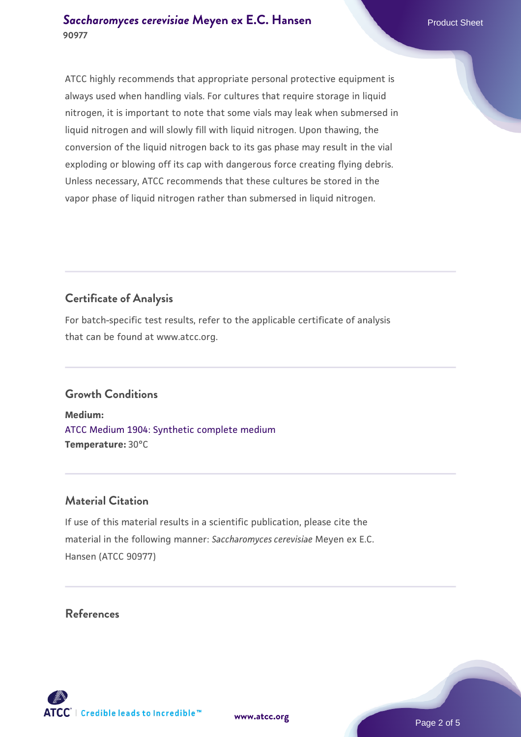ATCC highly recommends that appropriate personal protective equipment is always used when handling vials. For cultures that require storage in liquid nitrogen, it is important to note that some vials may leak when submersed in liquid nitrogen and will slowly fill with liquid nitrogen. Upon thawing, the conversion of the liquid nitrogen back to its gas phase may result in the vial exploding or blowing off its cap with dangerous force creating flying debris. Unless necessary, ATCC recommends that these cultures be stored in the vapor phase of liquid nitrogen rather than submersed in liquid nitrogen.

# **Certificate of Analysis**

For batch-specific test results, refer to the applicable certificate of analysis that can be found at www.atcc.org.

# **Growth Conditions**

**Medium:**  [ATCC Medium 1904: Synthetic complete medium](https://www.atcc.org/-/media/product-assets/documents/microbial-media-formulations/atcc-medium-1904.pdf?rev=0e0b7f15245044839a89ba7db6e9650a) **Temperature:** 30°C

# **Material Citation**

If use of this material results in a scientific publication, please cite the material in the following manner: *Saccharomyces cerevisiae* Meyen ex E.C. Hansen (ATCC 90977)

# **References**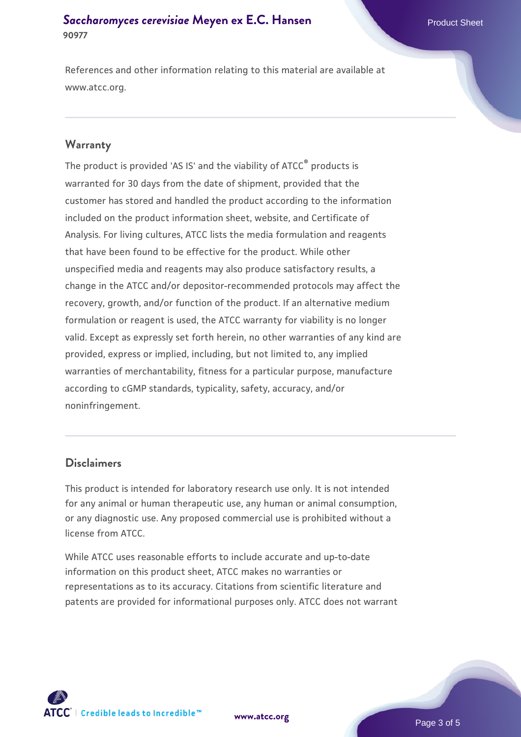### **[Saccharomyces cerevisiae](https://www.atcc.org/products/90977)** [Meyen ex E.C. Hansen](https://www.atcc.org/products/90977) **90977**

References and other information relating to this material are available at www.atcc.org.

### **Warranty**

The product is provided 'AS IS' and the viability of ATCC® products is warranted for 30 days from the date of shipment, provided that the customer has stored and handled the product according to the information included on the product information sheet, website, and Certificate of Analysis. For living cultures, ATCC lists the media formulation and reagents that have been found to be effective for the product. While other unspecified media and reagents may also produce satisfactory results, a change in the ATCC and/or depositor-recommended protocols may affect the recovery, growth, and/or function of the product. If an alternative medium formulation or reagent is used, the ATCC warranty for viability is no longer valid. Except as expressly set forth herein, no other warranties of any kind are provided, express or implied, including, but not limited to, any implied warranties of merchantability, fitness for a particular purpose, manufacture according to cGMP standards, typicality, safety, accuracy, and/or noninfringement.

### **Disclaimers**

This product is intended for laboratory research use only. It is not intended for any animal or human therapeutic use, any human or animal consumption, or any diagnostic use. Any proposed commercial use is prohibited without a license from ATCC.

While ATCC uses reasonable efforts to include accurate and up-to-date information on this product sheet, ATCC makes no warranties or representations as to its accuracy. Citations from scientific literature and patents are provided for informational purposes only. ATCC does not warrant



**[www.atcc.org](http://www.atcc.org)**

Page 3 of 5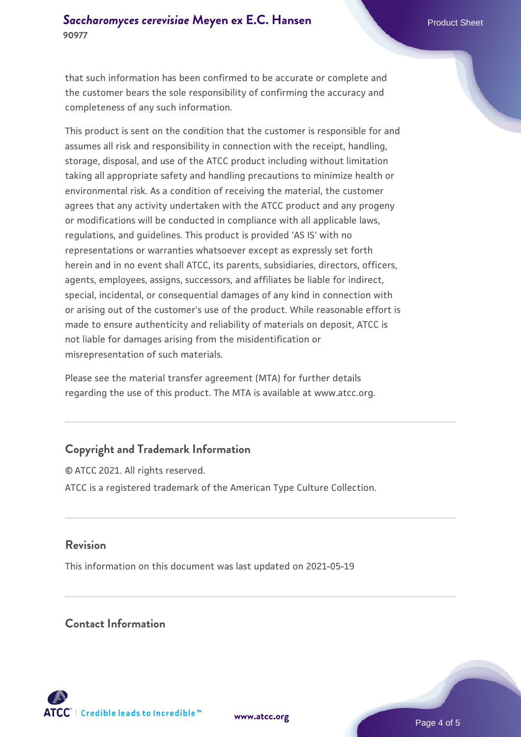that such information has been confirmed to be accurate or complete and the customer bears the sole responsibility of confirming the accuracy and completeness of any such information.

This product is sent on the condition that the customer is responsible for and assumes all risk and responsibility in connection with the receipt, handling, storage, disposal, and use of the ATCC product including without limitation taking all appropriate safety and handling precautions to minimize health or environmental risk. As a condition of receiving the material, the customer agrees that any activity undertaken with the ATCC product and any progeny or modifications will be conducted in compliance with all applicable laws, regulations, and guidelines. This product is provided 'AS IS' with no representations or warranties whatsoever except as expressly set forth herein and in no event shall ATCC, its parents, subsidiaries, directors, officers, agents, employees, assigns, successors, and affiliates be liable for indirect, special, incidental, or consequential damages of any kind in connection with or arising out of the customer's use of the product. While reasonable effort is made to ensure authenticity and reliability of materials on deposit, ATCC is not liable for damages arising from the misidentification or misrepresentation of such materials.

Please see the material transfer agreement (MTA) for further details regarding the use of this product. The MTA is available at www.atcc.org.

# **Copyright and Trademark Information**

© ATCC 2021. All rights reserved. ATCC is a registered trademark of the American Type Culture Collection.

### **Revision**

This information on this document was last updated on 2021-05-19

### **Contact Information**



**[www.atcc.org](http://www.atcc.org)**